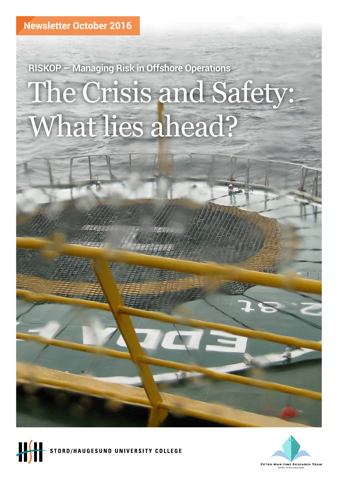# The Crisis and Safety: What lies ahead? **RISKOP – Managing Risk in Offshore Operations**



**TORD/HAUGESUND UNIVERSITY COLLEGE** 

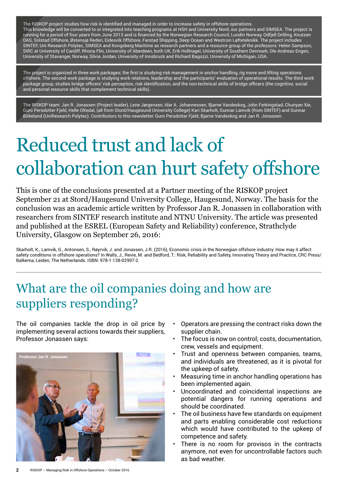The RISKOP project studies how risk is identified and managed in order to increase safety in offshore operations. This knowledge will be converted to or integrated into teaching programs at HSH and University Nord, our partners and SIMSEA. The project is running for a period of four years from June 2013 and is financed by the Norwegian Research Council, Lundin Norway, Odfjell Drilling, Knutsen OAS, Solstad Offshore, Østensjø Rederi, Eidesvik Offshore, Farstad Shipping, Deep Ocean and Westcon Løfteteknikk. The project includes SINTEF, Uni Research Polytec, SIMSEA and Kongsberg Maritime as research partners and a resource group of the professors: Helen Sampson, SIRC at University of Cardiff, Rhona Flin, University of Aberdeen, both UK, Erik Hollnagel, University of Southern Denmark, Ole Andreas Engen, University of Stavanger, Norway, Silvia Jordan, University of Innsbruck and Richard Bagozzi, University of Michigan, USA.

The project is organized in three work packages; the first is studying risk management in anchor handling, rig move and lifting operations offshore. The second work package is studying work relations, leadership and the participants' evaluation of operational results. The third work package group, studies bridge officers' risk perception, risk identification, and the non-technical skills of bridge officers (the cognitive, social and personal resource skills that complement technical skills).

The RISKOP team: Jan R. Jonassen (Project leader), Lene Jørgensen, Idar A. Johannessen, Bjarne Vandeskog, John Ferkingstad, Chunyan Xie, Guro Persdotter Fjeld, Helle Oltedal, (all from Stord/Haugesund University College) Kari Skarholt, Gunnar Lamvik (from SINTEF) and Gunnar Birkeland (UniResearch Polytec). Contributors to this newsletter: Guro Persdotter Fjeld, Bjarne Vandeskog and Jan R. Jonassen.

## Reduced trust and lack of collaboration can hurt safety offshore

This is one of the conclusions presented at a Partner meeting of the RISKOP project September 21 at Stord/Haugesund University College, Haugesund, Norway. The basis for the conclusion was an academic article written by Professor Jan R. Jonassen in collaboration with researchers from SINTEF research institute and NTNU University. The article was presented and published at the ESREL (European Safety and Reliability) conference, Strathclyde University, Glasgow on September 26, 2016:

Skarholt, K., Lamvik, G., Antonsen, S., Røyrvik, J. and Jonassen, J.R. (2016), Economic crisis in the Norwegian offshore industry: How may it affect safety conditions in offshore operations? In Walls, J., Revie, M. and Bedford, T.: Risk, Reliability and Safety, Innovating Theory and Practice, CRC Press/ Balkema, Leiden, The Netherlands. ISBN: 978-1-138-02997-2.

#### What are the oil companies doing and how are suppliers responding?

The oil companies tackle the drop in oil price by implementing several actions towards their suppliers, Professor Jonassen says:



- Operators are pressing the contract risks down the supplier chain.
- The focus is now on control; costs, documentation, crew, vessels and equipment.
- Trust and openness between companies, teams, and individuals are threatened, as it is pivotal for the upkeep of safety.
- Measuring time in anchor handling operations has been implemented again.
- Uncoordinated and coincidental inspections are potential dangers for running operations and should be coordinated.
- The oil business have few standards on equipment and parts enabling considerable cost reductions which would have contributed to the upkeep of competence and safety.
- There is no room for provisos in the contracts anymore, not even for uncontrollable factors such as bad weather.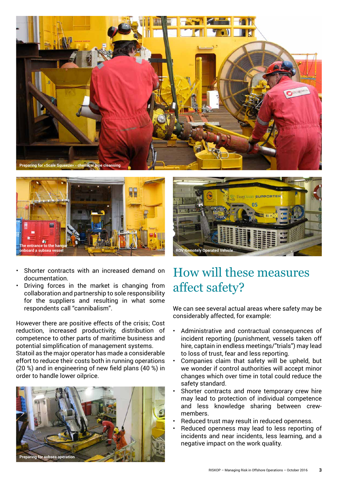





• Driving forces in the market is changing from collaboration and partnership to sole responsibility for the suppliers and resulting in what some respondents call "cannibalism".

However there are positive effects of the crisis; Cost reduction, increased productivity, distribution of competence to other parts of maritime business and potential simplification of management systems.

Statoil as the major operator has made a considerable effort to reduce their costs both in running operations (20 %) and in engineering of new field plans (40 %) in order to handle lower oilprice.





#### How will these measures affect safety?

We can see several actual areas where safety may be considerably affected, for example:

- Administrative and contractual consequences of incident reporting (punishment, vessels taken off hire, captain in endless meetings/"trials") may lead to loss of trust, fear and less reporting.
- Companies claim that safety will be upheld, but we wonder if control authorities will accept minor changes which over time in total could reduce the safety standard.
- Shorter contracts and more temporary crew hire may lead to protection of individual competence and less knowledge sharing between crewmembers.
- Reduced trust may result in reduced openness.
- Reduced openness may lead to less reporting of incidents and near incidents, less learning, and a negative impact on the work quality.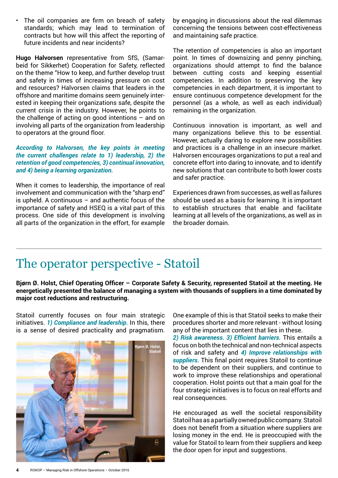• The oil companies are firm on breach of safety standards; which may lead to termination of contracts but how will this affect the reporting of future incidents and near incidents?

**Hugo Halvorsen** representative from SfS, (Samarbeid for Sikkerhet) Cooperation for Safety, reflected on the theme "How to keep, and further develop trust and safety in times of increasing pressure on cost and resources? Halvorsen claims that leaders in the offshore and maritime domains seem genuinely interested in keeping their organizations safe, despite the current crisis in the industry. However, he points to the challenge of acting on good intentions – and on involving all parts of the organization from leadership to operators at the ground floor.

*According to Halvorsen, the key points in meeting the current challenges relate to 1) leadership, 2) the retention of good competencies, 3) continual innovation, and 4) being a learning organization.*

When it comes to leadership, the importance of real involvement and communication with the "sharp end" is upheld. A continuous  $-$  and authentic focus of the importance of safety and HSEQ is a vital part of this process. One side of this development is involving all parts of the organization in the effort, for example

by engaging in discussions about the real dilemmas concerning the tensions between cost-effectiveness and maintaining safe practice.

The retention of competencies is also an important point. In times of downsizing and penny pinching, organizations should attempt to find the balance between cutting costs and keeping essential competencies. In addition to preserving the key competencies in each department, it is important to ensure continuous competence development for the personnel (as a whole, as well as each individual) remaining in the organization.

Continuous innovation is important, as well and many organizations believe this to be essential. However, actually daring to explore new possibilities and practices is a challenge in an insecure market. Halvorsen encourages organizations to put a real and concrete effort into daring to innovate, and to identify new solutions that can contribute to both lower costs and safer practice.

Experiences drawn from successes, as well as failures should be used as a basis for learning. It is important to establish structures that enable and facilitate learning at all levels of the organizations, as well as in the broader domain.

#### The operator perspective - Statoil

**Bjørn Ø. Holst, Chief Operating Officer – Corporate Safety & Security, represented Statoil at the meeting. He energetically presented the balance of managing a system with thousands of suppliers in a time dominated by major cost reductions and restructuring.** 

Statoil currently focuses on four main strategic initiatives. *1) Compliance and leadership.* In this, there is a sense of desired practicality and pragmatism.



One example of this is that Statoil seeks to make their procedures shorter and more relevant - without losing any of the important content that lies in these.

*2) Risk awareness. 3) Efficient barriers.* This entails a focus on both the technical and non-technical aspects of risk and safety and *4) Improve relationships with suppliers.* This final point requires Statoil to continue to be dependent on their suppliers, and continue to work to improve these relationships and operational cooperation. Holst points out that a main goal for the four strategic initiatives is to focus on real efforts and real consequences.

He encouraged as well the societal responsibility Statoil has as a partially owned public company. Statoil does not benefit from a situation where suppliers are losing money in the end. He is preoccupied with the value for Statoil to learn from their suppliers and keep the door open for input and suggestions.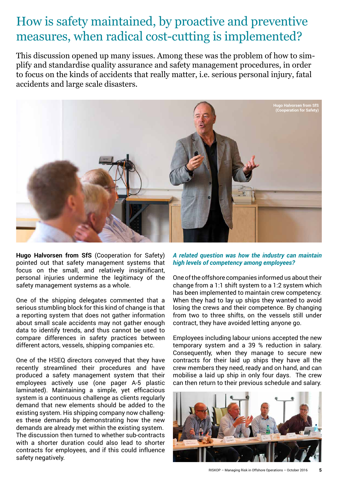#### How is safety maintained, by proactive and preventive measures, when radical cost-cutting is implemented?

This discussion opened up many issues. Among these was the problem of how to simplify and standardise quality assurance and safety management procedures, in order to focus on the kinds of accidents that really matter, i.e. serious personal injury, fatal accidents and large scale disasters.



**Hugo Halvorsen from SfS** (Cooperation for Safety) pointed out that safety management systems that focus on the small, and relatively insignificant, personal injuries undermine the legitimacy of the safety management systems as a whole.

One of the shipping delegates commented that a serious stumbling block for this kind of change is that a reporting system that does not gather information about small scale accidents may not gather enough data to identify trends, and thus cannot be used to compare differences in safety practices between different actors, vessels, shipping companies etc.

One of the HSEQ directors conveyed that they have recently streamlined their procedures and have produced a safety management system that their employees actively use (one pager A-5 plastic laminated). Maintaining a simple, yet efficacious system is a continuous challenge as clients regularly demand that new elements should be added to the existing system. His shipping company now challenges these demands by demonstrating how the new demands are already met within the existing system. The discussion then turned to whether sub-contracts with a shorter duration could also lead to shorter contracts for employees, and if this could influence safety negatively.

#### *A related question was how the industry can maintain high levels of competency among employees?*

One of the offshore companies informed us about their change from a 1:1 shift system to a 1:2 system which has been implemented to maintain crew competency. When they had to lay up ships they wanted to avoid losing the crews and their competence. By changing from two to three shifts, on the vessels still under contract, they have avoided letting anyone go.

Employees including labour unions accepted the new temporary system and a 39 % reduction in salary. Consequently, when they manage to secure new contracts for their laid up ships they have all the crew members they need, ready and on hand, and can mobilise a laid up ship in only four days. The crew can then return to their previous schedule and salary.

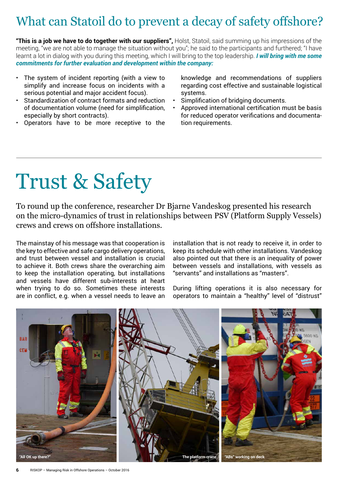### What can Statoil do to prevent a decay of safety offshore?

**"This is a job we have to do together with our suppliers",** Holst, Statoil, said summing up his impressions of the meeting, "we are not able to manage the situation without you"; he said to the participants and furthered; "I have learnt a lot in dialog with you during this meeting, which I will bring to the top leadership. *I will bring with me some commitments for further evaluation and development within the company:*

- The system of incident reporting (with a view to simplify and increase focus on incidents with a serious potential and major accident focus).
- Standardization of contract formats and reduction of documentation volume (need for simplification, especially by short contracts).
- Operators have to be more receptive to the

knowledge and recommendations of suppliers regarding cost effective and sustainable logistical systems.

- Simplification of bridging documents.
- Approved international certification must be basis for reduced operator verifications and documentation requirements.

## Trust & Safety

To round up the conference, researcher Dr Bjarne Vandeskog presented his research on the micro-dynamics of trust in relationships between PSV (Platform Supply Vessels) crews and crews on offshore installations.

The mainstay of his message was that cooperation is the key to effective and safe cargo delivery operations, and trust between vessel and installation is crucial to achieve it. Both crews share the overarching aim to keep the installation operating, but installations and vessels have different sub-interests at heart when trying to do so. Sometimes these interests are in conflict, e.g. when a vessel needs to leave an

installation that is not ready to receive it, in order to keep its schedule with other installations. Vandeskog also pointed out that there is an inequality of power between vessels and installations, with vessels as "servants" and installations as "masters".

During lifting operations it is also necessary for operators to maintain a "healthy" level of "distrust"

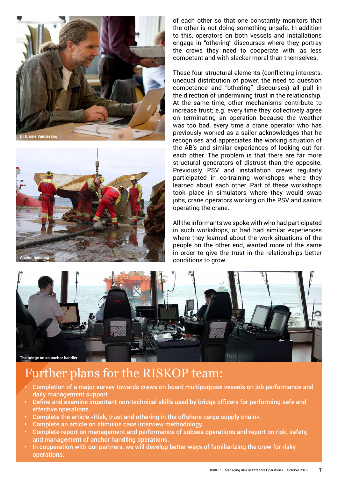



of each other so that one constantly monitors that the other is not doing something unsafe. In addition to this, operators on both vessels and installations engage in "othering" discourses where they portray the crews they need to cooperate with, as less competent and with slacker moral than themselves.

These four structural elements (conflicting interests, unequal distribution of power, the need to question competence and "othering" discourses) all pull in the direction of undermining trust in the relationship. At the same time, other mechanisms contribute to increase trust; e.g. every time they collectively agree on terminating an operation because the weather was too bad, every time a crane operator who has previously worked as a sailor acknowledges that he recognises and appreciates the working situation of the AB's and similar experiences of looking out for each other. The problem is that there are far more structural generators of distrust than the opposite. Previously PSV and installation crews regularly participated in co-training workshops where they learned about each other. Part of these workshops took place in simulators where they would swap jobs, crane operators working on the PSV and sailors operating the crane.

All the informants we spoke with who had participated in such workshops, or had had similar experiences where they learned about the work-situations of the people on the other end, wanted more of the same in order to give the trust in the relationships better conditions to grow.



#### Further plans for the RISKOP team:

- Completion of a major survey towards crews on board multipurpose vessels on job performance and daily management support
- Define and examine important non-technical skills used by bridge officers for performing safe and effective operations.
- Complete the article «Risk, trust and othering in the offshore cargo supply chain».
- Complete an article on stimulus case interview methodology.
- Complete report on management and performance of subsea operations and report on risk, safety, and management of anchor handling operations.
- In cooperation with our partners, we will develop better ways of familiarizing the crew for risky operations.